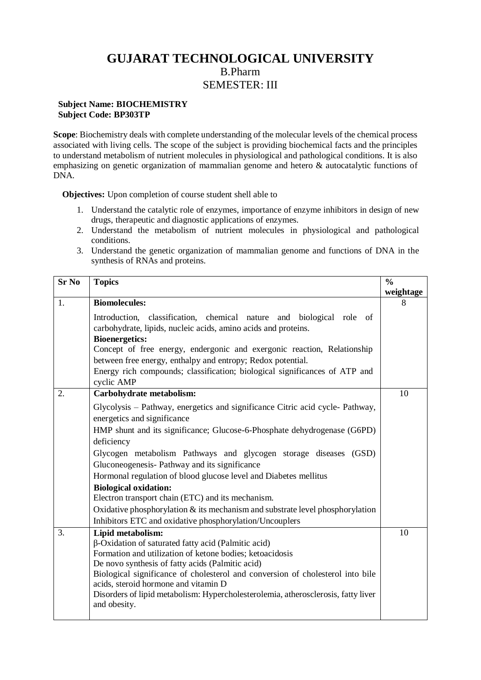## **GUJARAT TECHNOLOGICAL UNIVERSITY** B.Pharm SEMESTER: III

## **Subject Name: BIOCHEMISTRY Subject Code: BP303TP**

**Scope**: Biochemistry deals with complete understanding of the molecular levels of the chemical process associated with living cells. The scope of the subject is providing biochemical facts and the principles to understand metabolism of nutrient molecules in physiological and pathological conditions. It is also emphasizing on genetic organization of mammalian genome and hetero & autocatalytic functions of DNA.

**Objectives:** Upon completion of course student shell able to

- 1. Understand the catalytic role of enzymes, importance of enzyme inhibitors in design of new drugs, therapeutic and diagnostic applications of enzymes.
- 2. Understand the metabolism of nutrient molecules in physiological and pathological conditions.
- 3. Understand the genetic organization of mammalian genome and functions of DNA in the synthesis of RNAs and proteins.

| <b>Sr No</b> | <b>Topics</b>                                                                                                                          | $\frac{0}{0}$ |
|--------------|----------------------------------------------------------------------------------------------------------------------------------------|---------------|
|              |                                                                                                                                        | weightage     |
| 1.           | <b>Biomolecules:</b>                                                                                                                   | 8             |
|              | Introduction, classification, chemical nature and biological role of<br>carbohydrate, lipids, nucleic acids, amino acids and proteins. |               |
|              | <b>Bioenergetics:</b>                                                                                                                  |               |
|              | Concept of free energy, endergonic and exergonic reaction, Relationship                                                                |               |
|              | between free energy, enthalpy and entropy; Redox potential.                                                                            |               |
|              | Energy rich compounds; classification; biological significances of ATP and<br>cyclic AMP                                               |               |
| 2.           | Carbohydrate metabolism:                                                                                                               | 10            |
|              | Glycolysis - Pathway, energetics and significance Citric acid cycle- Pathway,<br>energetics and significance                           |               |
|              | HMP shunt and its significance; Glucose-6-Phosphate dehydrogenase (G6PD)                                                               |               |
|              | deficiency                                                                                                                             |               |
|              | Glycogen metabolism Pathways and glycogen storage diseases (GSD)                                                                       |               |
|              | Gluconeogenesis- Pathway and its significance                                                                                          |               |
|              | Hormonal regulation of blood glucose level and Diabetes mellitus                                                                       |               |
|              | <b>Biological oxidation:</b>                                                                                                           |               |
|              | Electron transport chain (ETC) and its mechanism.                                                                                      |               |
|              | Oxidative phosphorylation $\&$ its mechanism and substrate level phosphorylation                                                       |               |
|              | Inhibitors ETC and oxidative phosphorylation/Uncouplers                                                                                |               |
| 3.           | Lipid metabolism:                                                                                                                      | 10            |
|              | β-Oxidation of saturated fatty acid (Palmitic acid)                                                                                    |               |
|              | Formation and utilization of ketone bodies; ketoacidosis                                                                               |               |
|              | De novo synthesis of fatty acids (Palmitic acid)                                                                                       |               |
|              | Biological significance of cholesterol and conversion of cholesterol into bile<br>acids, steroid hormone and vitamin D                 |               |
|              | Disorders of lipid metabolism: Hypercholesterolemia, atherosclerosis, fatty liver                                                      |               |
|              | and obesity.                                                                                                                           |               |
|              |                                                                                                                                        |               |